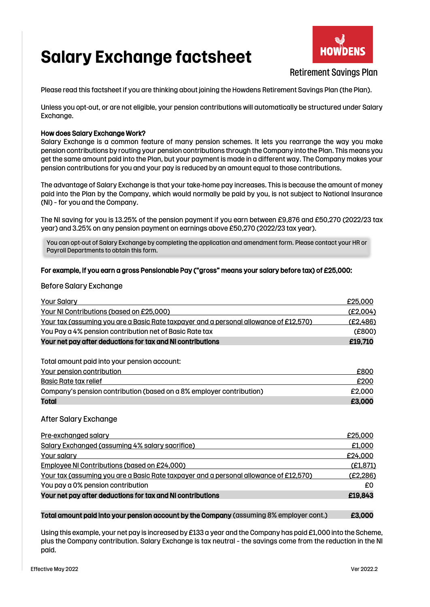# **Salary Exchange factsheet**



# Retirement Savings Plan

Please read this factsheet if you are thinking about joining the Howdens Retirement Savings Plan (the Plan).

Unless you opt-out, or are not eligible, your pension contributions will automatically be structured under Salary Exchange.

### How does Salary Exchange Work?

Salary Exchange is a common feature of many pension schemes. It lets you rearrange the way you make pension contributions by routing your pension contributions through the Company into the Plan. This means you get the same amount paid into the Plan, but your payment is made in a different way. The Company makes your pension contributions for you and your pay is reduced by an amount equal to those contributions.

The advantage of Salary Exchange is that your take-home pay increases. This is because the amount of money paid into the Plan by the Company, which would normally be paid by you, is not subject to National Insurance (NI) – for you and the Company.

The NI saving for you is 13.25% of the pension payment if you earn between £9,876 and £50,270 (2022/23 tax year) and 3.25% on any pension payment on earnings above £50,270 (2022/23 tax year).

You can opt-out of Salary Exchange by completing the application and amendment form. Please contact your HR or Payroll Departments to obtain this form.

### For example, if you earn a gross Pensionable Pay ("gross" means your salary before tax) of £25,000:

## Before Salary Exchange

| <b>Your Salary</b>                                                                    | £25,000   |
|---------------------------------------------------------------------------------------|-----------|
| Your NI Contributions (based on £25,000)                                              | (E2,004)  |
| Your tax (assuming you are a Basic Rate taxpayer and a personal allowance of £12,570) | (E2, 486) |
| You Pay a 4% pension contribution net of Basic Rate tax                               | (E800)    |
| Your net pay after deductions for tax and NI contributions                            | £19,710   |
|                                                                                       |           |

Total amount paid into your pension account:

| Your pension contribution                                            | £800   |
|----------------------------------------------------------------------|--------|
| Basic Rate tax relief                                                | £200   |
| Company's pension contribution (based on a 8% employer contribution) | £2,000 |
| Total                                                                | £3,000 |

### After Salary Exchange

| Pre-exchanged salary                                                                         | £25,000   |
|----------------------------------------------------------------------------------------------|-----------|
| Salary Exchanged (assuming 4% salary sacrifice)                                              | £1,000    |
| Your salary                                                                                  | £24,000   |
| Employee NI Contributions (based on £24,000)                                                 | (E1, 871) |
| <u>Your tax (assuming you are a Basic Rate taxpayer and a personal allowance of £12,570)</u> | (E2, 286) |
| You pay a 0% pension contribution                                                            | £0        |
| Your net pay after deductions for tax and NI contributions                                   | £19,843   |

### Total amount paid into your pension account by the Company (assuming 8% employer cont.) E3,000

Using this example, your net pay is increased by £133 a year and the Company has paid £1,000 into the Scheme, plus the Company contribution. Salary Exchange is tax neutral – the savings come from the reduction in the NI paid.